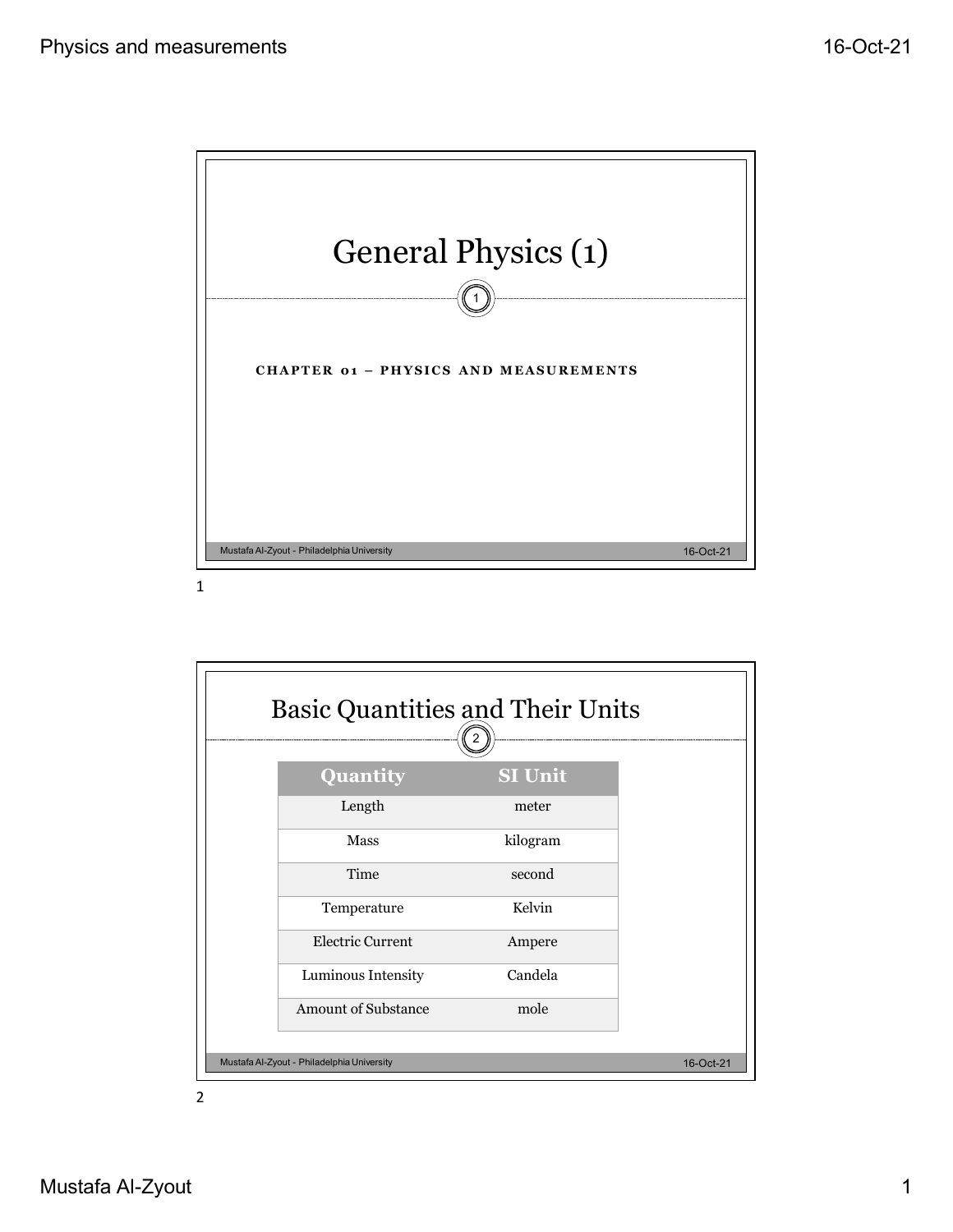

1

| <b>Basic Quantities and Their Units</b>    | 2              |           |
|--------------------------------------------|----------------|-----------|
| Quantity                                   | <b>SI Unit</b> |           |
| Length                                     | meter          |           |
| Mass                                       | kilogram       |           |
| Time                                       | second         |           |
| Temperature                                | Kelvin         |           |
| Electric Current                           | Ampere         |           |
| Luminous Intensity                         | Candela        |           |
| <b>Amount of Substance</b>                 | mole           |           |
| Mustafa Al-Zyout - Philadelphia University |                | 16-Oct-21 |

2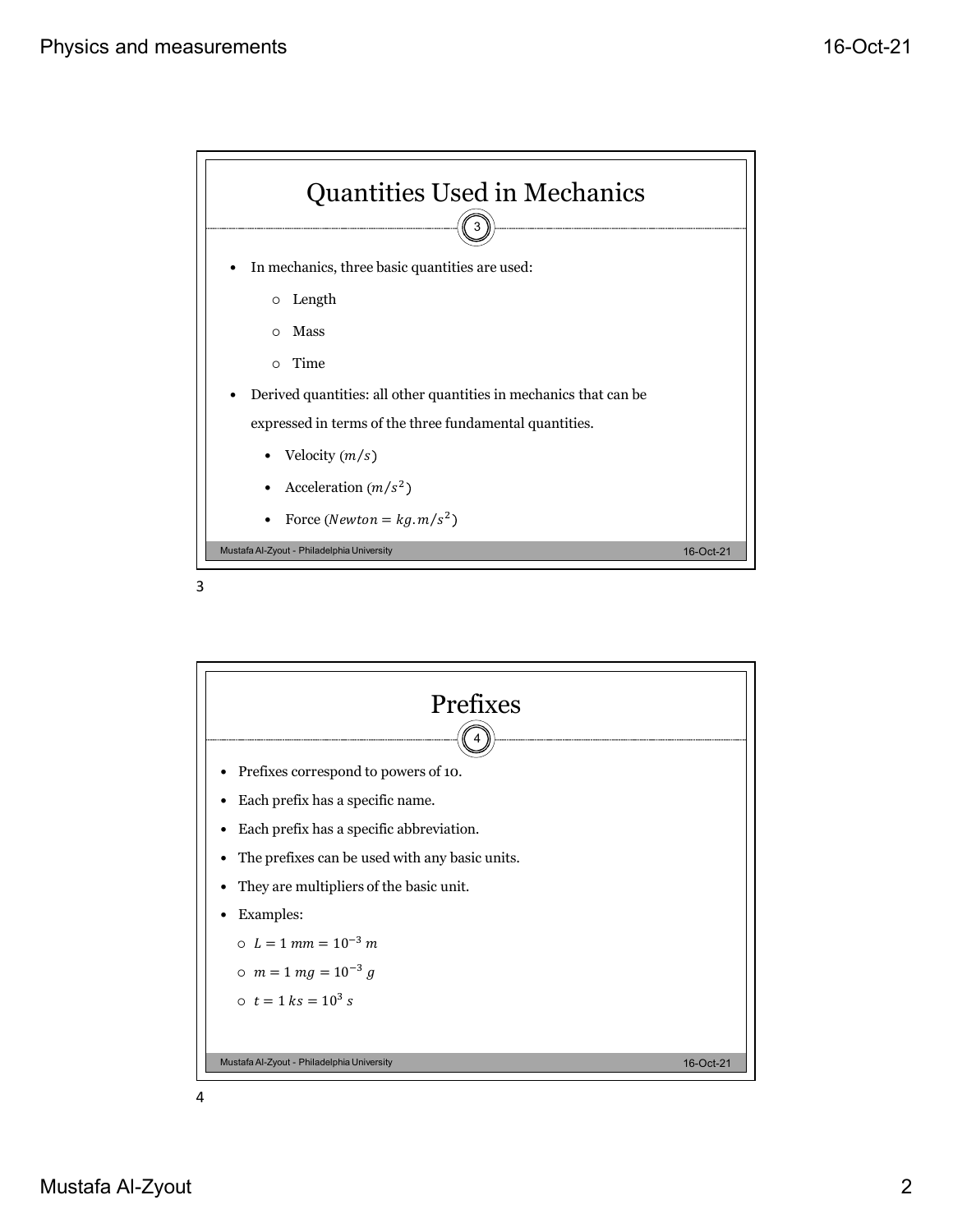



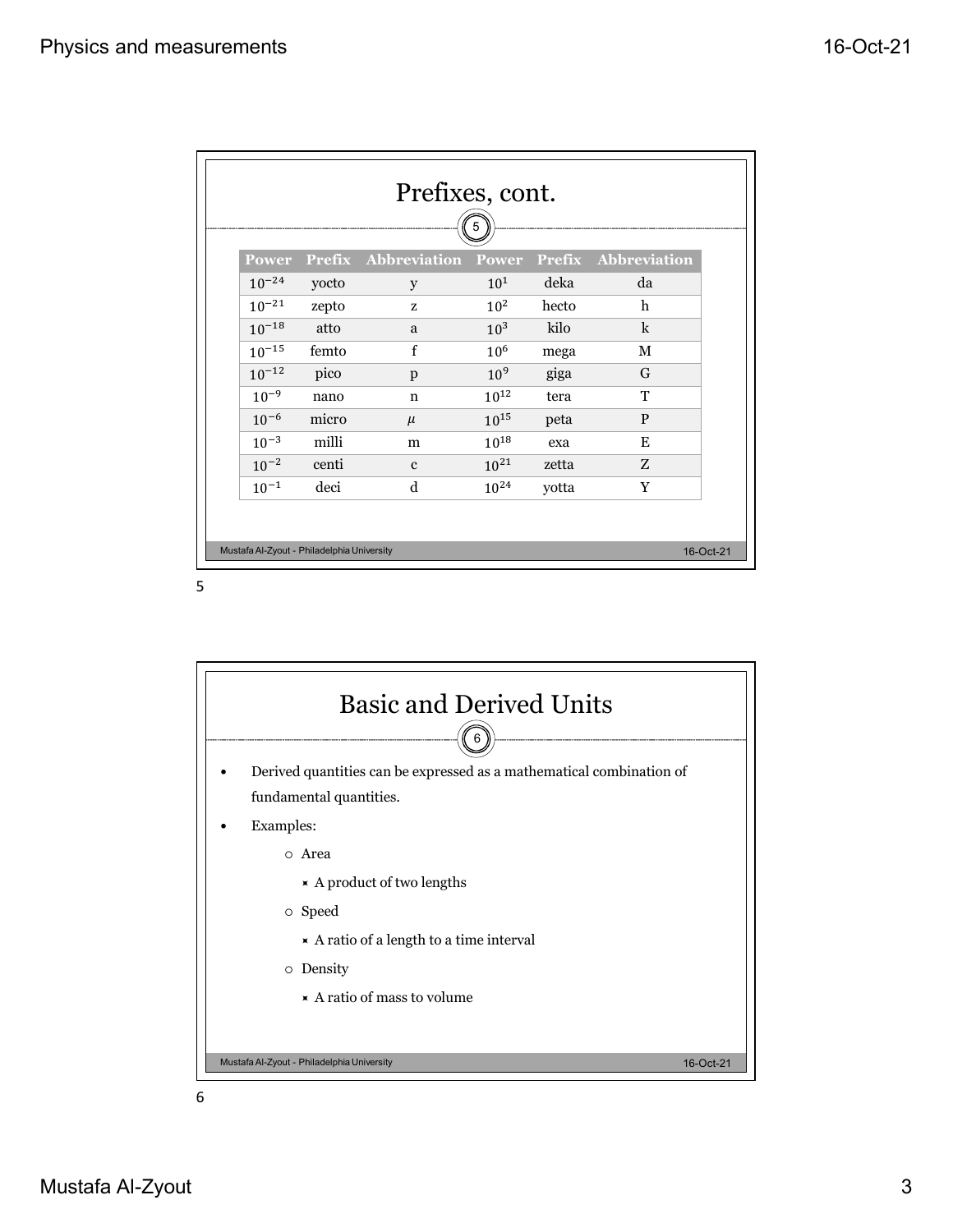|            |               |                     | 5               |               |                     |
|------------|---------------|---------------------|-----------------|---------------|---------------------|
| Power      | <b>Prefix</b> | <b>Abbreviation</b> | Power           | <b>Prefix</b> | <b>Abbreviation</b> |
| $10^{-24}$ | yocto         | y                   | $10^{1}$        | deka          | da                  |
| $10^{-21}$ | zepto         | z                   | 10 <sup>2</sup> | hecto         | $\mathbf h$         |
| $10^{-18}$ | atto          | a                   | 10 <sup>3</sup> | kilo          | $\mathbf k$         |
| $10^{-15}$ | femto         | f                   | 10 <sup>6</sup> | mega          | М                   |
| $10^{-12}$ | pico          | p                   | 10 <sup>9</sup> | giga          | G                   |
| $10^{-9}$  | nano          | $\mathbf n$         | $10^{12}$       | tera          | T                   |
| $10^{-6}$  | micro         | $\mu$               | $10^{15}$       | peta          | $\mathbf{P}$        |
| $10^{-3}$  | milli         | m                   | $10^{18}$       | exa           | E                   |
| $10^{-2}$  | centi         | $\mathbf{c}$        | $10^{21}$       | zetta         | Z                   |
| $10^{-1}$  | deci          | d                   | $10^{24}$       | yotta         | Y                   |

5